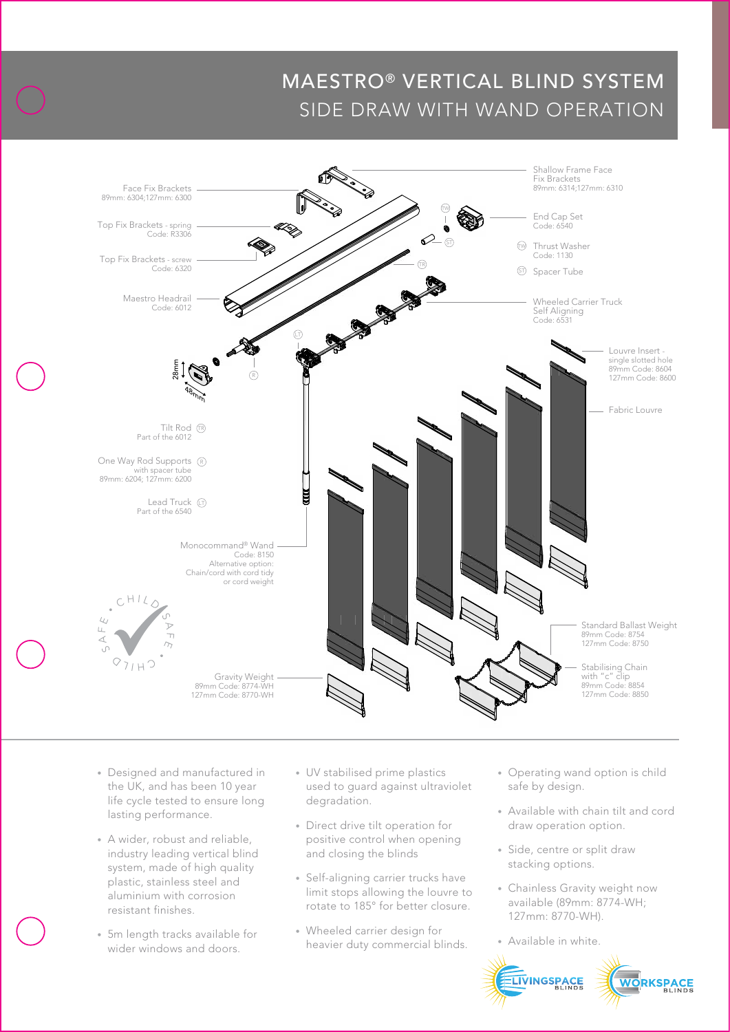## MAESTRO® VERTICAL BLIND SYSTEM SIDE DRAW WITH WAND OPERATION



- the UK, and has been 10 year • Designed and manufactured in life cycle tested to ensure long lasting performance.
- A wider, robust and reliable, industry leading vertical blind system, made of high quality plastic, stainless steel and aluminium with corrosion resistant finishes.
- 5m length tracks available for wider windows and doors.
- UV stabilised prime plastics used to guard against ultraviolet degradation.
- Direct drive tilt operation for positive control when opening and closing the blinds
- Self-aligning carrier trucks have limit stops allowing the louvre to rotate to 185° for better closure.
- Wheeled carrier design for heavier duty commercial blinds.
- Operating wand option is child safe by design.
- Available with chain tilt and cord draw operation option.
- Side, centre or split draw stacking options.
- Chainless Gravity weight now available (89mm: 8774-WH; 127mm: 8770-WH).
- Available in white.